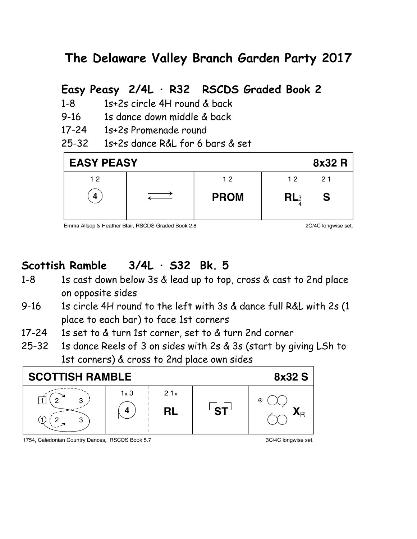# **The Delaware Valley Branch Garden Party 2017**

## **Easy Peasy 2/4L · R32 RSCDS Graded Book 2**

- 1-8 1s+2s circle 4H round & back
- 9-16 1s dance down middle & back
- 17-24 1s+2s Promenade round
- 25-32 1s+2s dance R&L for 6 bars & set



Emma Allsop & Heather Blair, RSCDS Graded Book 2.8

2C/4C longwise set.

# **Scottish Ramble 3/4L · S32 Bk. 5**

- 1-8 1s cast down below 3s & lead up to top, cross & cast to 2nd place on opposite sides
- 9-16 1s circle 4H round to the left with 3s & dance full R&L with 2s (1 place to each bar) to face 1st corners
- 17-24 1s set to & turn 1st corner, set to & turn 2nd corner
- 25-32 1s dance Reels of 3 on sides with 2s & 3s (start by giving LSh to 1st corners) & cross to 2nd place own sides



#### 1754, Caledonian Country Dances, RSCDS Book 5.7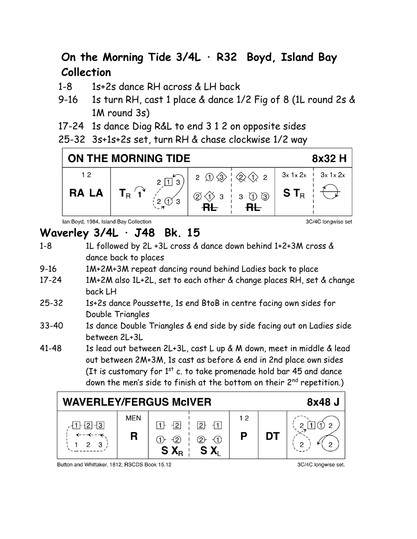# **On the Morning Tide 3/4L · R32 Boyd, Island Bay Collection**

- 1-8 1s+2s dance RH across & LH back
- 9-16 1s turn RH, cast 1 place & dance 1/2 Fig of 8 (1L round 2s & 1M round 3s)
- 17-24 1s dance Diag R&L to end 3 1 2 on opposite sides
- 25-32 3s+1s+2s set, turn RH & chase clockwise 1/2 way



lan Boyd, 1984, Island Bay Collection

# **Waverley 3/4L · J48 Bk. 15**

- 1-8 1L followed by 2L +3L cross & dance down behind 1+2+3M cross & dance back to places
- 9-16 1M+2M+3M repeat dancing round behind Ladies back to place
- 17-24 1M+2M also 1L+2L, set to each other & change places RH, set & change back LH
- 25-32 1s+2s dance Poussette, 1s end BtoB in centre facing own sides for Double Triangles
- 33-40 1s dance Double Triangles & end side by side facing out on Ladies side between 2L+3L
- 41-48 1s lead out between 2L+3L, cast L up & M down, meet in middle & lead out between 2M+3M, 1s cast as before & end in 2nd place own sides (It is customary for  $1<sup>st</sup>$  c. to take promenade hold bar 45 and dance down the men's side to finish at the bottom on their 2<sup>nd</sup> repetition.)



Button and Whittaker, 1812, RSCDS Book 15.12

3C/4C longwise set.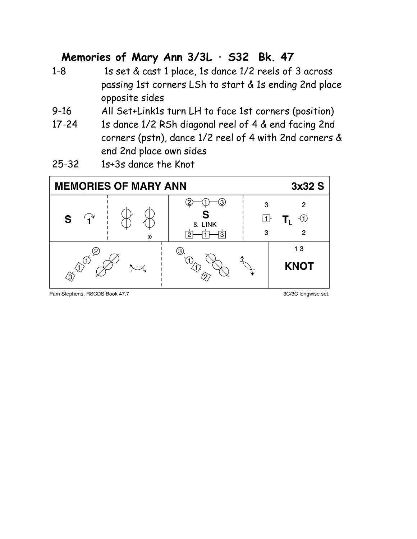#### **Memories of Mary Ann 3/3L · S32 Bk. 47**

- 1-8 1s set & cast 1 place, 1s dance 1/2 reels of 3 across passing 1st corners LSh to start & 1s ending 2nd place opposite sides
- 9-16 All Set+Link1s turn LH to face 1st corners (position)
- 17-24 1s dance 1/2 RSh diagonal reel of 4 & end facing 2nd corners (pstn), dance 1/2 reel of 4 with 2nd corners & end 2nd place own sides
- 25-32 1s+3s dance the Knot



Pam Stephens, RSCDS Book 47.7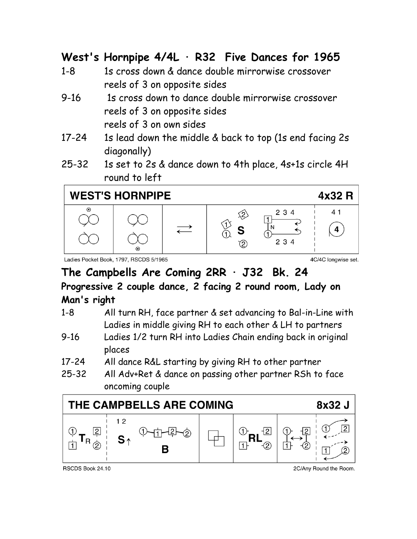## **West's Hornpipe 4/4L · R32 Five Dances for 1965**

- 1-8 1s cross down & dance double mirrorwise crossover reels of 3 on opposite sides
- 9-16 1s cross down to dance double mirrorwise crossover reels of 3 on opposite sides reels of 3 on own sides
- 17-24 1s lead down the middle & back to top (1s end facing 2s diagonally)
- 25-32 1s set to 2s & dance down to 4th place, 4s+1s circle 4H round to left

# **WEST'S HORNPIPE**



Ladies Pocket Book, 1797, RSCDS 5/1965

4C/4C longwise set.

4x32 R

#### **The Campbells Are Coming 2RR · J32 Bk. 24 Progressive 2 couple dance, 2 facing 2 round room, Lady on Man's right**

- 1-8 All turn RH, face partner & set advancing to Bal-in-Line with Ladies in middle giving RH to each other & LH to partners
- 9-16 Ladies 1/2 turn RH into Ladies Chain ending back in original places
- 17-24 All dance R&L starting by giving RH to other partner
- 25-32 All Adv+Ret & dance on passing other partner RSh to face oncoming couple



RSCDS Book 24.10

2C/Any Round the Room.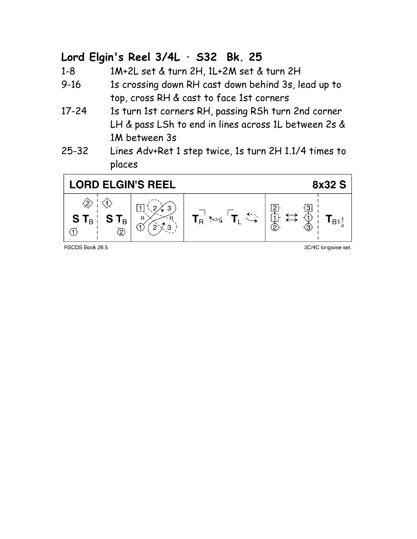## **Lord Elgin's Reel 3/4L · S32 Bk. 25**

1-8 1M+2L set & turn 2H, 1L+2M set & turn 2H

- 9-16 1s crossing down RH cast down behind 3s, lead up to top, cross RH & cast to face 1st corners
- 17-24 1s turn 1st corners RH, passing RSh turn 2nd corner LH & pass LSh to end in lines across 1L between 2s & 1M between 3s
- 25-32 Lines Adv+Ret 1 step twice, 1s turn 2H 1.1/4 times to places



RSCDS Book 26.5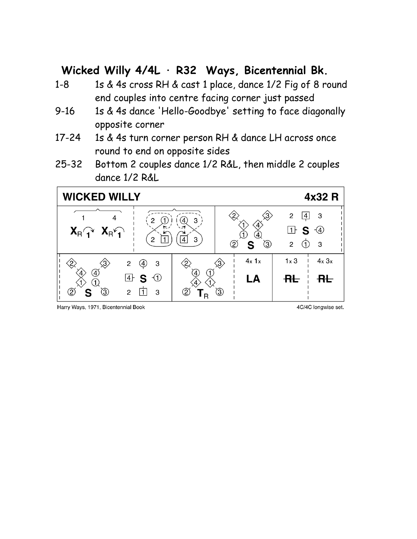## **Wicked Willy 4/4L · R32 Ways, Bicentennial Bk.**

- 1-8 1s & 4s cross RH & cast 1 place, dance 1/2 Fig of 8 round end couples into centre facing corner just passed
- 9-16 1s & 4s dance 'Hello-Goodbye' setting to face diagonally opposite corner
- 17-24 1s & 4s turn corner person RH & dance LH across once round to end on opposite sides
- 25-32 Bottom 2 couples dance 1/2 R&L, then middle 2 couples dance 1/2 R&L



Harry Ways, 1971, Bicentennial Book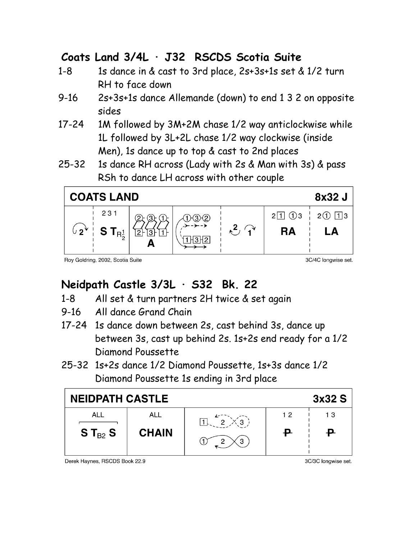## **Coats Land 3/4L · J32 RSCDS Scotia Suite**

- 1-8 1s dance in & cast to 3rd place, 2s+3s+1s set & 1/2 turn RH to face down
- 9-16 2s+3s+1s dance Allemande (down) to end 1 3 2 on opposite sides
- 17-24 1M followed by 3M+2M chase 1/2 way anticlockwise while 1L followed by 3L+2L chase 1/2 way clockwise (inside Men), 1s dance up to top & cast to 2nd places
- 25-32 1s dance RH across (Lady with 2s & Man with 3s) & pass RSh to dance LH across with other couple



3C/4C longwise set.

#### **Neidpath Castle 3/3L · S32 Bk. 22**

- 1-8 All set & turn partners 2H twice & set again
- 9-16 All dance Grand Chain
- 17-24 1s dance down between 2s, cast behind 3s, dance up between 3s, cast up behind 2s. 1s+2s end ready for a 1/2 Diamond Poussette
- 25-32 1s+2s dance 1/2 Diamond Poussette, 1s+3s dance 1/2 Diamond Poussette 1s ending in 3rd place

| <b>NEIDPATH CASTLE</b> |              |   |    | 3x32S |
|------------------------|--------------|---|----|-------|
| ALL                    | ALL          |   | 12 | 13    |
| $S$ T $_{B2}$ S        | <b>CHAIN</b> | G |    |       |

Derek Haynes, RSCDS Book 22.9